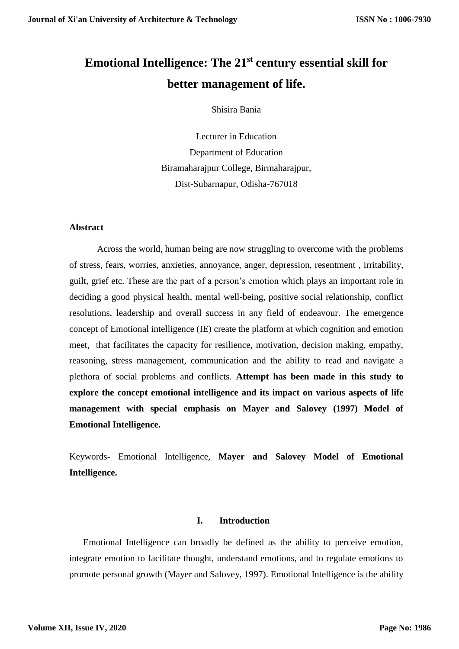# **Emotional Intelligence: The 21st century essential skill for better management of life.**

Shisira Bania

Lecturer in Education Department of Education Biramaharajpur College, Birmaharajpur, Dist-Subarnapur, Odisha-767018

#### **Abstract**

Across the world, human being are now struggling to overcome with the problems of stress, fears, worries, anxieties, annoyance, anger, depression, resentment , irritability, guilt, grief etc. These are the part of a person's emotion which plays an important role in deciding a good physical health, mental well-being, positive social relationship, conflict resolutions, leadership and overall success in any field of endeavour. The emergence concept of Emotional intelligence (IE) create the platform at which cognition and emotion meet, that facilitates the capacity for resilience, motivation, decision making, empathy, reasoning, stress management, communication and the ability to read and navigate a plethora of social problems and conflicts. **Attempt has been made in this study to explore the concept emotional intelligence and its impact on various aspects of life management with special emphasis on Mayer and Salovey (1997) Model of Emotional Intelligence.**

Keywords- Emotional Intelligence, **Mayer and Salovey Model of Emotional Intelligence.**

#### **I. Introduction**

Emotional Intelligence can broadly be defined as the ability to perceive emotion, integrate emotion to facilitate thought, understand emotions, and to regulate emotions to promote personal growth (Mayer and Salovey, 1997). Emotional Intelligence is the ability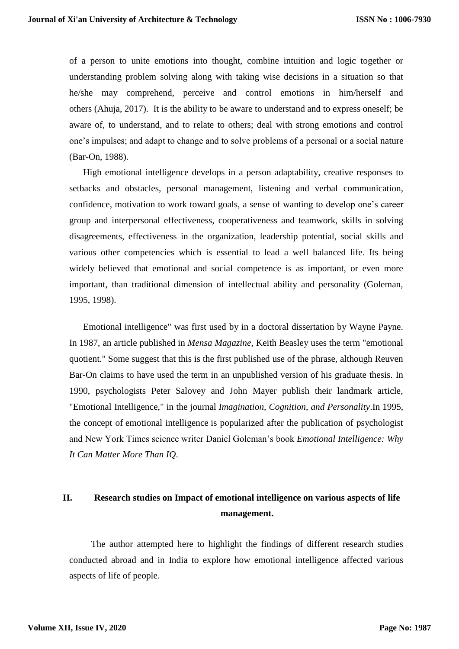of a person to unite emotions into thought, combine intuition and logic together or understanding problem solving along with taking wise decisions in a situation so that he/she may comprehend, perceive and control emotions in him/herself and others (Ahuja, 2017). It is the ability to be aware to understand and to express oneself; be aware of, to understand, and to relate to others; deal with strong emotions and control one's impulses; and adapt to change and to solve problems of a personal or a social nature (Bar-On, 1988).

High emotional intelligence develops in a person adaptability, creative responses to setbacks and obstacles, personal management, listening and verbal communication, confidence, motivation to work toward goals, a sense of wanting to develop one's career group and interpersonal effectiveness, cooperativeness and teamwork, skills in solving disagreements, effectiveness in the organization, leadership potential, social skills and various other competencies which is essential to lead a well balanced life. Its being widely believed that emotional and social competence is as important, or even more important, than traditional dimension of intellectual ability and personality (Goleman, 1995, 1998).

Emotional intelligence" was first used by in a doctoral dissertation by Wayne Payne. In 1987, an article published in *Mensa Magazine*, Keith Beasley uses the term "emotional quotient." Some suggest that this is the first published use of the phrase, although Reuven Bar-On claims to have used the term in an unpublished version of his graduate thesis. In 1990, psychologists Peter Salovey and John Mayer publish their landmark article, "Emotional Intelligence," in the journal *Imagination, Cognition, and Personality*.In 1995, the concept of [emotional intelligence](https://www.verywellmind.com/the-7-habits-of-emotionally-intelligent-people-2795431) is popularized after the publication of psychologist and New York Times science writer Daniel Goleman's book *Emotional Intelligence: Why It Can Matter More Than IQ*.

# **II. Research studies on Impact of emotional intelligence on various aspects of life management.**

The author attempted here to highlight the findings of different research studies conducted abroad and in India to explore how emotional intelligence affected various aspects of life of people.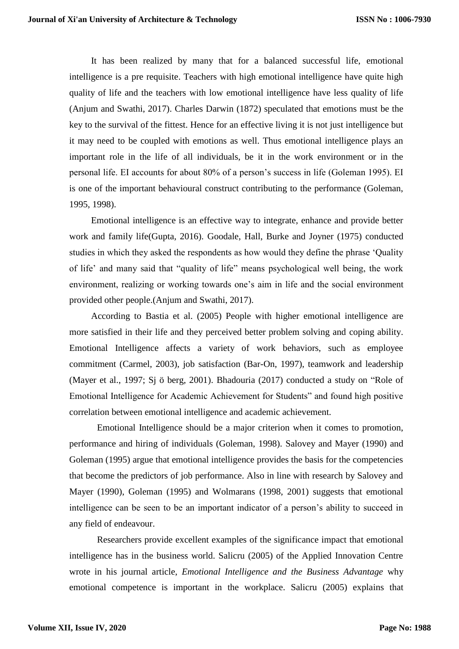It has been realized by many that for a balanced successful life, emotional intelligence is a pre requisite. Teachers with high emotional intelligence have quite high quality of life and the teachers with low emotional intelligence have less quality of life (Anjum and Swathi, 2017). Charles Darwin (1872) speculated that emotions must be the key to the survival of the fittest. Hence for an effective living it is not just intelligence but it may need to be coupled with emotions as well. Thus emotional intelligence plays an important role in the life of all individuals, be it in the work environment or in the personal life. EI accounts for about 80% of a person's success in life (Goleman 1995). EI is one of the important behavioural construct contributing to the performance (Goleman, 1995, 1998).

Emotional intelligence is an effective way to integrate, enhance and provide better work and family life(Gupta, 2016). Goodale, Hall, Burke and Joyner (1975) conducted studies in which they asked the respondents as how would they define the phrase 'Quality of life' and many said that "quality of life" means psychological well being, the work environment, realizing or working towards one's aim in life and the social environment provided other people.(Anjum and Swathi, 2017).

According to Bastia et al. (2005) People with higher emotional intelligence are more satisfied in their life and they perceived better problem solving and coping ability. Emotional Intelligence affects a variety of work behaviors, such as employee commitment (Carmel, 2003), job satisfaction (Bar-On, 1997), teamwork and leadership (Mayer et al., 1997; Sj ö berg, 2001). Bhadouria (2017) conducted a study on "Role of Emotional Intelligence for Academic Achievement for Students" and found high positive correlation between emotional intelligence and academic achievement.

Emotional Intelligence should be a major criterion when it comes to promotion, performance and hiring of individuals (Goleman, 1998). Salovey and Mayer (1990) and Goleman (1995) argue that emotional intelligence provides the basis for the competencies that become the predictors of job performance. Also in line with research by Salovey and Mayer (1990), Goleman (1995) and Wolmarans (1998, 2001) suggests that emotional intelligence can be seen to be an important indicator of a person's ability to succeed in any field of endeavour.

Researchers provide excellent examples of the significance impact that emotional intelligence has in the business world. Salicru (2005) of the Applied Innovation Centre wrote in his journal article, *Emotional Intelligence and the Business Advantage* why emotional competence is important in the workplace. Salicru (2005) explains that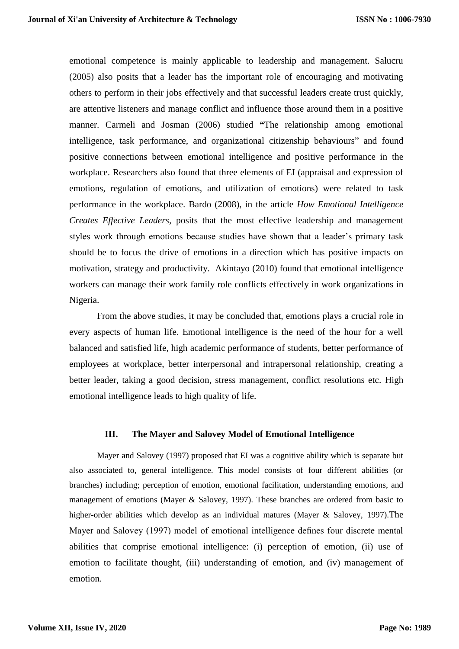emotional competence is mainly applicable to leadership and management. Salucru (2005) also posits that a leader has the important role of encouraging and motivating others to perform in their jobs effectively and that successful leaders create trust quickly, are attentive listeners and manage conflict and influence those around them in a positive manner. Carmeli and Josman (2006) studied **"**The relationship among emotional intelligence, task performance, and organizational citizenship behaviours" and found positive connections between emotional intelligence and positive performance in the workplace. Researchers also found that three elements of EI (appraisal and expression of emotions, regulation of emotions, and utilization of emotions) were related to task performance in the workplace. Bardo (2008), in the article *How Emotional Intelligence Creates Effective Leaders,* posits that the most effective leadership and management styles work through emotions because studies have shown that a leader's primary task should be to focus the drive of emotions in a direction which has positive impacts on motivation, strategy and productivity. Akintayo (2010) found that emotional intelligence workers can manage their work family role conflicts effectively in work organizations in Nigeria.

From the above studies, it may be concluded that, emotions plays a crucial role in every aspects of human life. Emotional intelligence is the need of the hour for a well balanced and satisfied life, high academic performance of students, better performance of employees at workplace, better interpersonal and intrapersonal relationship, creating a better leader, taking a good decision, stress management, conflict resolutions etc. High emotional intelligence leads to high quality of life.

#### **III. The Mayer and Salovey Model of Emotional Intelligence**

Mayer and Salovey (1997) proposed that EI was a cognitive ability which is separate but also associated to, general intelligence. This model consists of four different abilities (or branches) including; perception of emotion, emotional facilitation, understanding emotions, and management of emotions (Mayer & Salovey, 1997). These branches are ordered from basic to higher-order abilities which develop as an individual matures (Mayer & Salovey, 1997). The Mayer and Salovey (1997) model of emotional intelligence defines four discrete mental abilities that comprise emotional intelligence: (i) perception of emotion, (ii) use of emotion to facilitate thought, (iii) understanding of emotion, and (iv) management of emotion.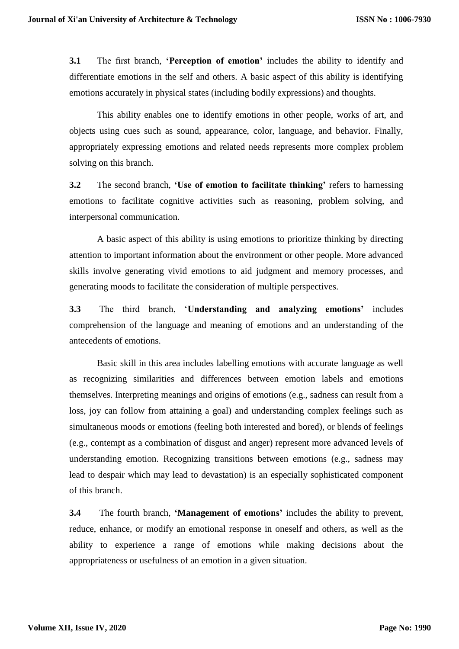**3.1** The first branch, **'Perception of emotion'** includes the ability to identify and differentiate emotions in the self and others. A basic aspect of this ability is identifying emotions accurately in physical states (including bodily expressions) and thoughts.

This ability enables one to identify emotions in other people, works of art, and objects using cues such as sound, appearance, color, language, and behavior. Finally, appropriately expressing emotions and related needs represents more complex problem solving on this branch.

**3.2** The second branch, **'Use of emotion to facilitate thinking'** refers to harnessing emotions to facilitate cognitive activities such as reasoning, problem solving, and interpersonal communication.

A basic aspect of this ability is using emotions to prioritize thinking by directing attention to important information about the environment or other people. More advanced skills involve generating vivid emotions to aid judgment and memory processes, and generating moods to facilitate the consideration of multiple perspectives.

**3.3** The third branch, '**Understanding and analyzing emotions'** includes comprehension of the language and meaning of emotions and an understanding of the antecedents of emotions.

Basic skill in this area includes labelling emotions with accurate language as well as recognizing similarities and differences between emotion labels and emotions themselves. Interpreting meanings and origins of emotions (e.g., sadness can result from a loss, joy can follow from attaining a goal) and understanding complex feelings such as simultaneous moods or emotions (feeling both interested and bored), or blends of feelings (e.g., contempt as a combination of disgust and anger) represent more advanced levels of understanding emotion. Recognizing transitions between emotions (e.g., sadness may lead to despair which may lead to devastation) is an especially sophisticated component of this branch.

**3.4** The fourth branch, **'Management of emotions'** includes the ability to prevent, reduce, enhance, or modify an emotional response in oneself and others, as well as the ability to experience a range of emotions while making decisions about the appropriateness or usefulness of an emotion in a given situation.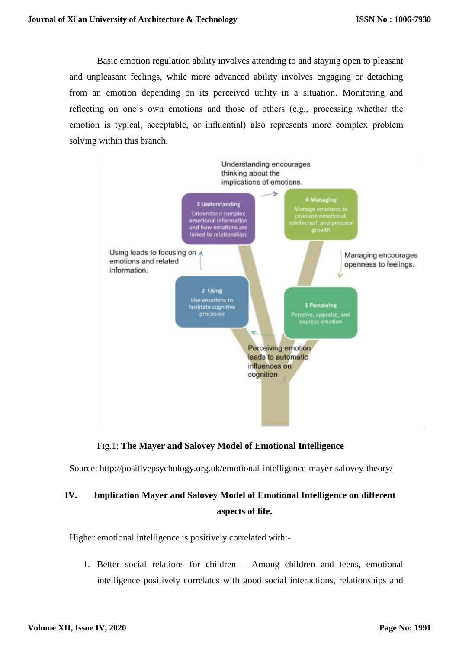Basic emotion regulation ability involves attending to and staying open to pleasant and unpleasant feelings, while more advanced ability involves engaging or detaching from an emotion depending on its perceived utility in a situation. Monitoring and reflecting on one's own emotions and those of others (e.g., processing whether the emotion is typical, acceptable, or influential) also represents more complex problem solving within this branch.



## Fig.1: **The Mayer and Salovey Model of Emotional Intelligence**

Source:<http://positivepsychology.org.uk/emotional-intelligence-mayer-salovey-theory/>

# **IV. Implication Mayer and Salovey Model of Emotional Intelligence on different aspects of life.**

Higher emotional intelligence is positively correlated with:-

1. Better social relations for children – Among children and teens, emotional intelligence positively correlates with good social interactions, relationships and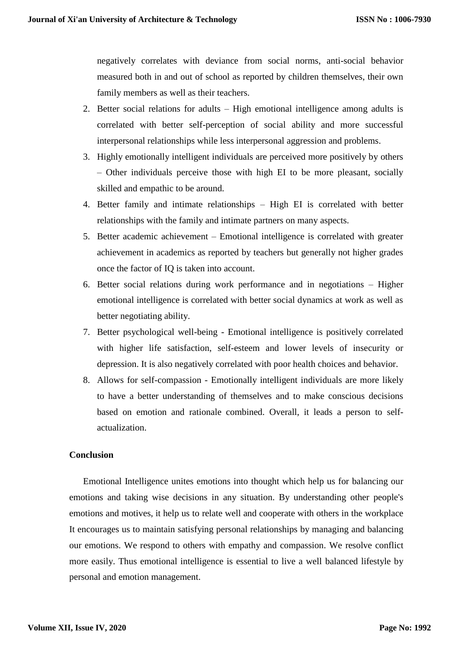negatively correlates with deviance from social norms, anti-social behavior measured both in and out of school as reported by children themselves, their own family members as well as their teachers.

- 2. Better social relations for adults High emotional intelligence among adults is correlated with better self-perception of social ability and more successful interpersonal relationships while less interpersonal aggression and problems.
- 3. Highly emotionally intelligent individuals are perceived more positively by others – Other individuals perceive those with high EI to be more pleasant, socially skilled and empathic to be around.
- 4. Better family and intimate relationships High EI is correlated with better relationships with the family and intimate partners on many aspects.
- 5. Better academic achievement Emotional intelligence is correlated with greater achievement in academics as reported by teachers but generally not higher grades once the factor of IQ is taken into account.
- 6. Better social relations during work performance and in negotiations Higher emotional intelligence is correlated with better social dynamics at work as well as better negotiating ability.
- 7. Better psychological well-being Emotional intelligence is positively correlated with higher [life satisfaction,](https://en.wikipedia.org/wiki/Life_satisfaction) self-esteem and lower levels of insecurity or depression. It is also negatively correlated with poor health choices and behavior.
- 8. Allows for self-compassion Emotionally intelligent individuals are more likely to have a better understanding of themselves and to make conscious decisions based on emotion and rationale combined. Overall, it leads a person to [self](https://en.wikipedia.org/wiki/Self-actualization)[actualization.](https://en.wikipedia.org/wiki/Self-actualization)

### **Conclusion**

Emotional Intelligence unites emotions into thought which help us for balancing our emotions and taking wise decisions in any situation. By understanding other people's emotions and motives, it help us to relate well and cooperate with others in the workplace It encourages us to maintain satisfying personal relationships by managing and balancing our emotions. We respond to others with empathy and compassion. We resolve conflict more easily. Thus emotional intelligence is essential to live a well [balanced lifestyle](https://www.essentiallifeskills.net/wellbalancedlife.html) by personal and emotion management.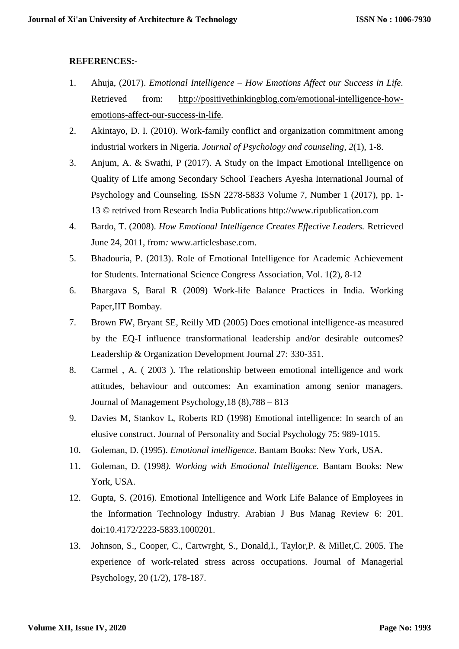## **REFERENCES:-**

- 1. Ahuja, (2017). *Emotional Intelligence – How Emotions Affect our Success in Life.*  Retrieved from: [http://positivethinkingblog.com/emotional-intelligence-how](http://positivethinkingblog.com/emotional-intelligence-how-emotions-affect-our-success-in-life)[emotions-affect-our-success-in-life.](http://positivethinkingblog.com/emotional-intelligence-how-emotions-affect-our-success-in-life)
- 2. Akintayo, D. I. (2010). Work-family conflict and organization commitment among industrial workers in Nigeria. *Journal of Psychology and counseling*, *2*(1), 1-8.
- 3. Anjum, A. & Swathi, P (2017). A Study on the Impact Emotional Intelligence on Quality of Life among Secondary School Teachers Ayesha International Journal of Psychology and Counseling. ISSN 2278-5833 Volume 7, Number 1 (2017), pp. 1- 13 © retrived from Research India Publications http://www.ripublication.com
- 4. Bardo, T. (2008). *How Emotional Intelligence Creates Effective Leaders.* Retrieved June 24, 2011, from*:* www.articlesbase.com.
- 5. Bhadouria, P. (2013). Role of Emotional Intelligence for Academic Achievement for Students. International Science Congress Association, Vol. 1(2), 8-12
- 6. Bhargava S, Baral R (2009) Work-life Balance Practices in India. Working Paper,IIT Bombay.
- 7. Brown FW, Bryant SE, Reilly MD (2005) Does emotional intelligence-as measured by the EQ-I influence transformational leadership and/or desirable outcomes? Leadership & Organization Development Journal 27: 330-351.
- 8. Carmel , A. ( 2003 ). The relationship between emotional intelligence and work attitudes, behaviour and outcomes: An examination among senior managers. Journal of Management Psychology,18 (8),788 – 813
- 9. Davies M, Stankov L, Roberts RD (1998) Emotional intelligence: In search of an elusive construct. Journal of Personality and Social Psychology 75: 989-1015.
- 10. Goleman, D. (1995). *Emotional intelligence*. Bantam Books: New York, USA.
- 11. Goleman, D. (1998*). Working with Emotional Intelligence.* Bantam Books: New York, USA.
- 12. Gupta, S. (2016). Emotional Intelligence and Work Life Balance of Employees in the Information Technology Industry. Arabian J Bus Manag Review 6: 201. doi:10.4172/2223-5833.1000201.
- 13. Johnson, S., Cooper, C., Cartwrght, S., Donald,I., Taylor,P. & Millet,C. 2005. The experience of work-related stress across occupations. Journal of Managerial Psychology, 20 (1/2), 178-187.